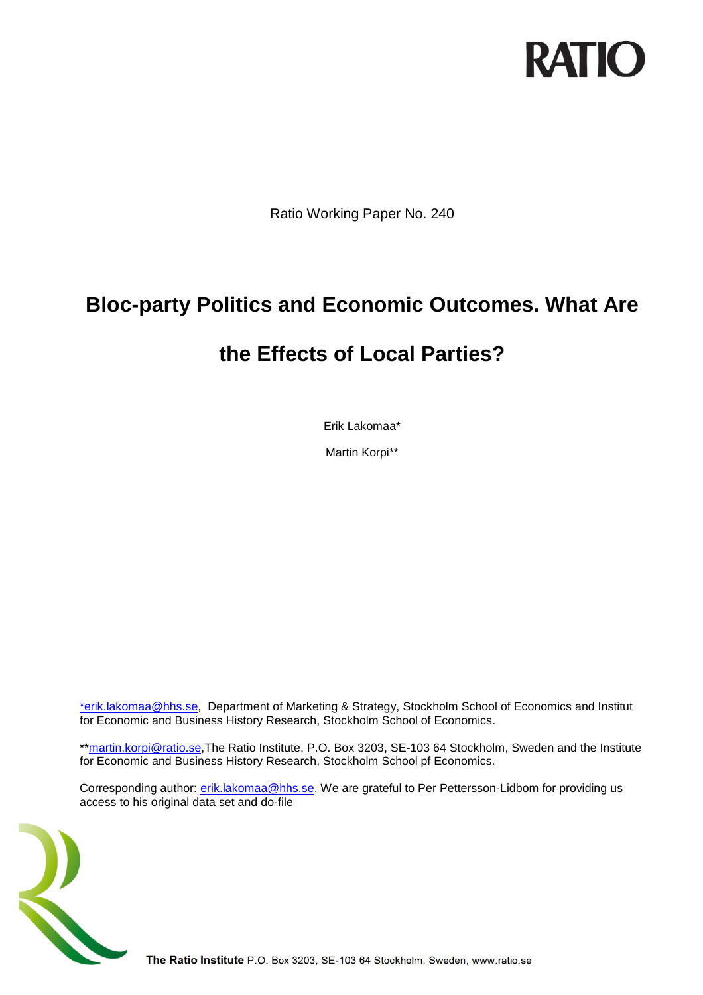

Ratio Working Paper No. 240

# **Bloc-party Politics and Economic Outcomes. What Are**

# **the Effects of Local Parties?**

Erik Lakomaa\*

Martin Korpi\*\*

[\\*erik.lakomaa@hhs.se,](mailto:*sven-olov.daunfeldt@ratio.se) Department of Marketing & Strategy, Stockholm School of Economics and Institut for Economic and Business History Research, Stockholm School of Economics.

\*[\\*martin.korpi@ratio.se,](mailto:martin.korpi@ratio.se)The Ratio Institute, P.O. Box 3203, SE-103 64 Stockholm, Sweden and the Institute for Economic and Business History Research, Stockholm School pf Economics.

Corresponding author: [erik.lakomaa@hhs.se.](mailto:erik.lakomaa@hhs.se) We are grateful to Per Pettersson-Lidbom for providing us access to his original data set and do-file



The Ratio Institute P.O. Box 3203, SE-103 64 Stockholm, Sweden, www.ratio.se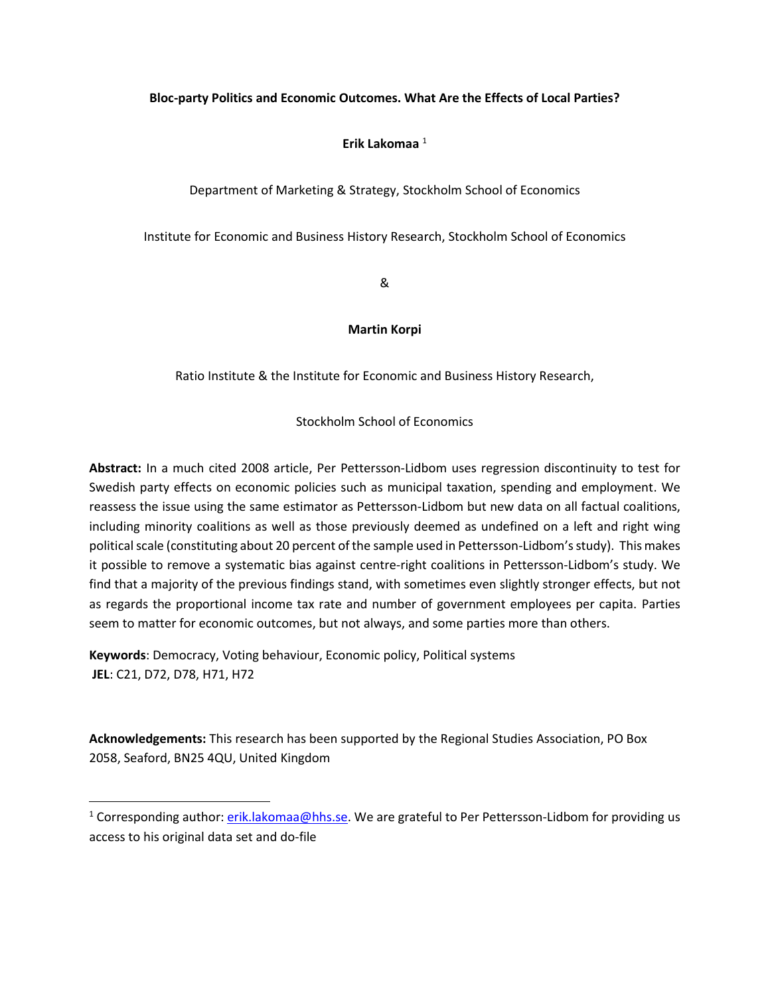### **Bloc-party Politics and Economic Outcomes. What Are the Effects of Local Parties?**

## **Erik Lakomaa** <sup>1</sup>

Department of Marketing & Strategy, Stockholm School of Economics

Institute for Economic and Business History Research, Stockholm School of Economics

&

### **Martin Korpi**

Ratio Institute & the Institute for Economic and Business History Research,

Stockholm School of Economics

**Abstract:** In a much cited 2008 article, Per Pettersson-Lidbom uses regression discontinuity to test for Swedish party effects on economic policies such as municipal taxation, spending and employment. We reassess the issue using the same estimator as Pettersson-Lidbom but new data on all factual coalitions, including minority coalitions as well as those previously deemed as undefined on a left and right wing political scale (constituting about 20 percent of the sample used in Pettersson-Lidbom's study). This makes it possible to remove a systematic bias against centre-right coalitions in Pettersson-Lidbom's study. We find that a majority of the previous findings stand, with sometimes even slightly stronger effects, but not as regards the proportional income tax rate and number of government employees per capita. Parties seem to matter for economic outcomes, but not always, and some parties more than others.

**Keywords**: Democracy, Voting behaviour, Economic policy, Political systems **JEL**: C21, D72, D78, H71, H72

 $\overline{\phantom{a}}$ 

**Acknowledgements:** This research has been supported by the Regional Studies Association, PO Box 2058, Seaford, BN25 4QU, United Kingdom

<sup>&</sup>lt;sup>1</sup> Corresponding author:  $erik.lakomaa@hhs.se.$  We are grateful to Per Pettersson-Lidbom for providing us access to his original data set and do-file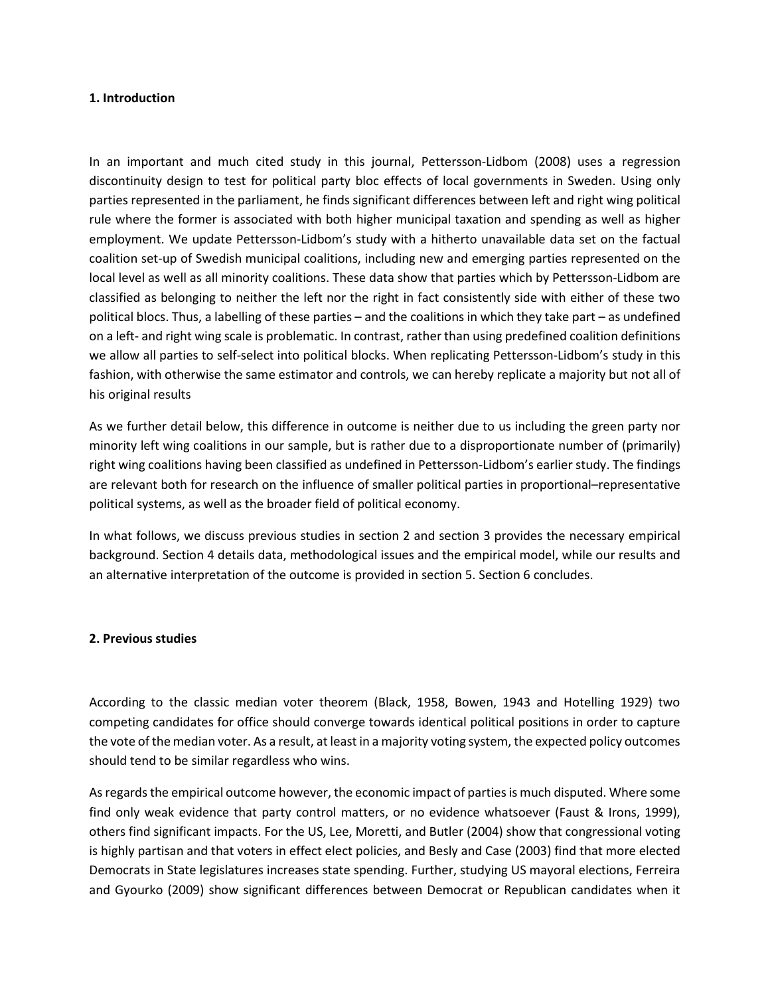#### **1. Introduction**

In an important and much cited study in this journal, Pettersson-Lidbom [\(2008\)](#page-10-0) uses a regression discontinuity design to test for political party bloc effects of local governments in Sweden. Using only parties represented in the parliament, he finds significant differences between left and right wing political rule where the former is associated with both higher municipal taxation and spending as well as higher employment. We update Pettersson-Lidbom's study with a hitherto unavailable data set on the factual coalition set-up of Swedish municipal coalitions, including new and emerging parties represented on the local level as well as all minority coalitions. These data show that parties which by Pettersson-Lidbom are classified as belonging to neither the left nor the right in fact consistently side with either of these two political blocs. Thus, a labelling of these parties – and the coalitions in which they take part – as undefined on a left- and right wing scale is problematic. In contrast, rather than using predefined coalition definitions we allow all parties to self-select into political blocks. When replicating Pettersson-Lidbom's study in this fashion, with otherwise the same estimator and controls, we can hereby replicate a majority but not all of his original results

As we further detail below, this difference in outcome is neither due to us including the green party nor minority left wing coalitions in our sample, but is rather due to a disproportionate number of (primarily) right wing coalitions having been classified as undefined in Pettersson-Lidbom's earlier study. The findings are relevant both for research on the influence of smaller political parties in proportional–representative political systems, as well as the broader field of political economy.

In what follows, we discuss previous studies in section 2 and section 3 provides the necessary empirical background. Section 4 details data, methodological issues and the empirical model, while our results and an alternative interpretation of the outcome is provided in section 5. Section 6 concludes.

#### **2. Previous studies**

According to the classic median voter theorem (Black, 1958, Bowen, 1943 and Hotelling 1929) two competing candidates for office should converge towards identical political positions in order to capture the vote of the median voter. As a result, at least in a majority voting system, the expected policy outcomes should tend to be similar regardless who wins.

As regards the empirical outcome however, the economic impact of parties is much disputed. Where some find only weak evidence that party control matters, or no evidence whatsoever (Faust & Irons, 1999), others find significant impacts. For the US, Lee, Moretti, and Butler [\(2004\)](#page-9-0) show that congressional voting is highly partisan and that voters in effect elect policies, and Besly and Case [\(2003\)](#page-9-1) find that more elected Democrats in State legislatures increases state spending. Further, studying US mayoral elections, Ferreira and Gyourko [\(2009\)](#page-9-2) show significant differences between Democrat or Republican candidates when it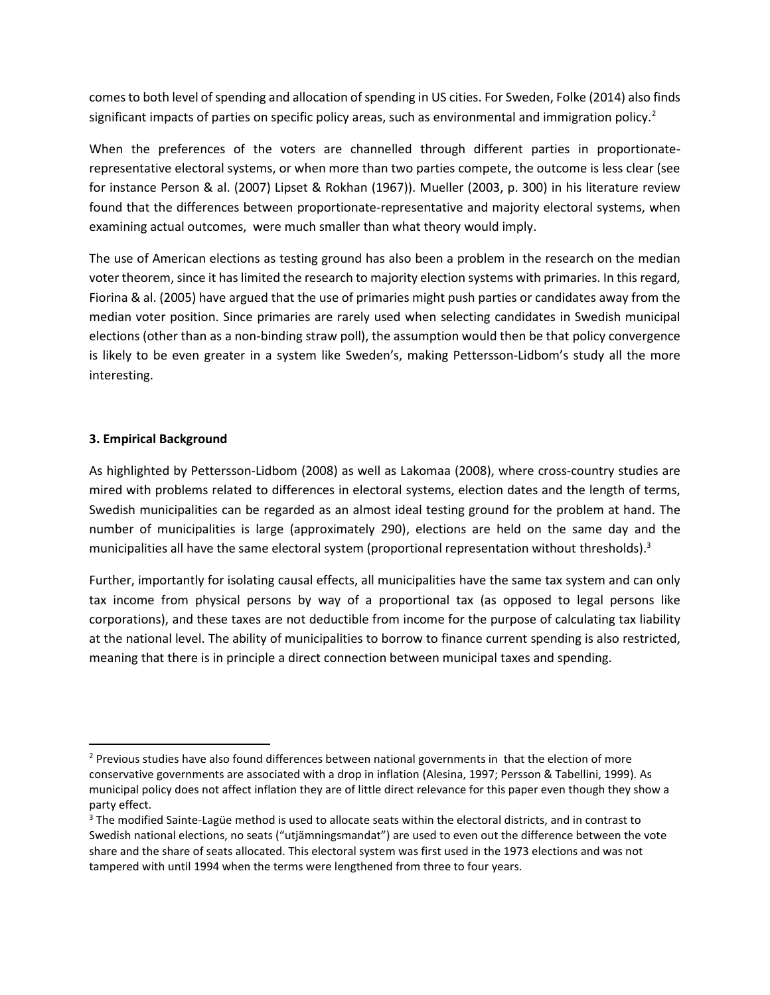comes to both level of spending and allocation of spending in US cities. For Sweden, Folke [\(2014\)](#page-9-3) also finds significant impacts of parties on specific policy areas, such as environmental and immigration policy.<sup>2</sup>

When the preferences of the voters are channelled through different parties in proportionaterepresentative electoral systems, or when more than two parties compete, the outcome is less clear (see for instance Person & al. [\(2007\)](#page-10-1) Lipset & Rokhan [\(1967\)](#page-9-4)). Mueller [\(2003, p. 300\)](#page-9-5) in his literature review found that the differences between proportionate-representative and majority electoral systems, when examining actual outcomes, were much smaller than what theory would imply.

The use of American elections as testing ground has also been a problem in the research on the median voter theorem, since it has limited the research to majority election systems with primaries. In this regard, Fiorina & al. [\(2005\)](#page-9-6) have argued that the use of primaries might push parties or candidates away from the median voter position. Since primaries are rarely used when selecting candidates in Swedish municipal elections (other than as a non-binding straw poll), the assumption would then be that policy convergence is likely to be even greater in a system like Sweden's, making Pettersson-Lidbom's study all the more interesting.

### **3. Empirical Background**

 $\overline{\phantom{a}}$ 

As highlighted by Pettersson-Lidbom (2008) as well as Lakomaa [\(2008\)](#page-9-7), where cross-country studies are mired with problems related to differences in electoral systems, election dates and the length of terms, Swedish municipalities can be regarded as an almost ideal testing ground for the problem at hand. The number of municipalities is large (approximately 290), elections are held on the same day and the municipalities all have the same electoral system (proportional representation without thresholds).<sup>3</sup>

Further, importantly for isolating causal effects, all municipalities have the same tax system and can only tax income from physical persons by way of a proportional tax (as opposed to legal persons like corporations), and these taxes are not deductible from income for the purpose of calculating tax liability at the national level. The ability of municipalities to borrow to finance current spending is also restricted, meaning that there is in principle a direct connection between municipal taxes and spending.

<sup>&</sup>lt;sup>2</sup> Previous studies have also found differences between national governments in that the election of more conservative governments are associated with a drop in inflation [\(Alesina, 1997;](#page-8-0) [Persson & Tabellini, 1999\)](#page-10-2). As municipal policy does not affect inflation they are of little direct relevance for this paper even though they show a party effect.

<sup>&</sup>lt;sup>3</sup> The modified Sainte-Lagüe method is used to allocate seats within the electoral districts, and in contrast to Swedish national elections, no seats ("utjämningsmandat") are used to even out the difference between the vote share and the share of seats allocated. This electoral system was first used in the 1973 elections and was not tampered with until 1994 when the terms were lengthened from three to four years.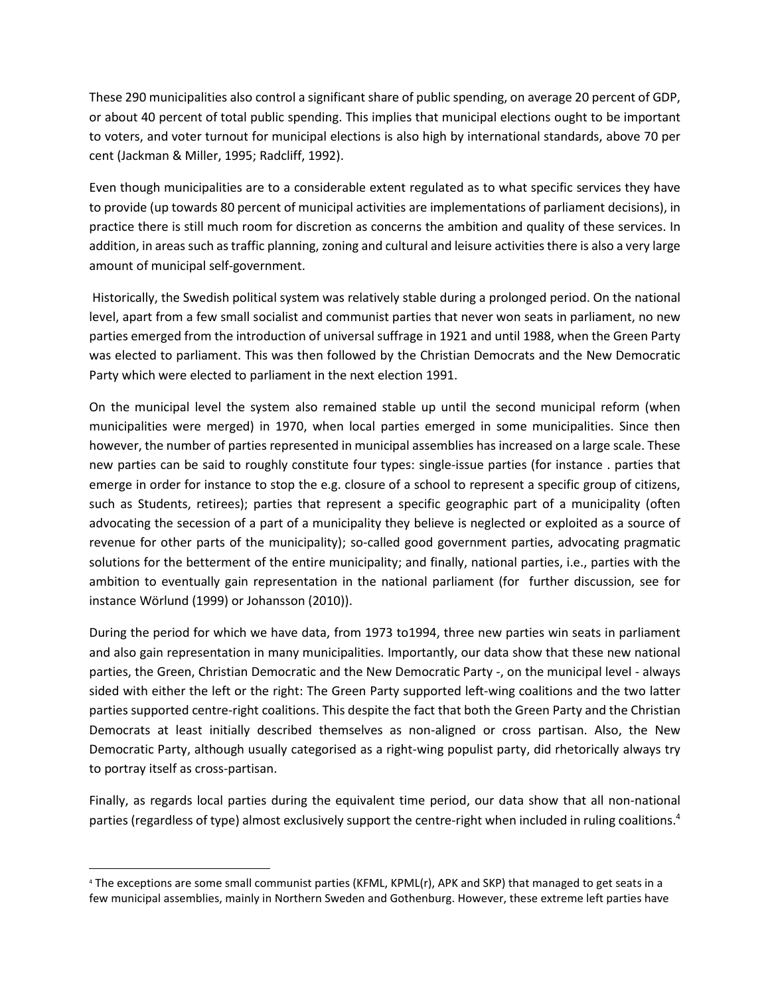These 290 municipalities also control a significant share of public spending, on average 20 percent of GDP, or about 40 percent of total public spending. This implies that municipal elections ought to be important to voters, and voter turnout for municipal elections is also high by international standards, above 70 per cent [\(Jackman & Miller, 1995;](#page-9-8) [Radcliff, 1992\)](#page-10-3).

Even though municipalities are to a considerable extent regulated as to what specific services they have to provide (up towards 80 percent of municipal activities are implementations of parliament decisions), in practice there is still much room for discretion as concerns the ambition and quality of these services. In addition, in areas such as traffic planning, zoning and cultural and leisure activities there is also a very large amount of municipal self-government.

Historically, the Swedish political system was relatively stable during a prolonged period. On the national level, apart from a few small socialist and communist parties that never won seats in parliament, no new parties emerged from the introduction of universal suffrage in 1921 and until 1988, when the Green Party was elected to parliament. This was then followed by the Christian Democrats and the New Democratic Party which were elected to parliament in the next election 1991.

On the municipal level the system also remained stable up until the second municipal reform (when municipalities were merged) in 1970, when local parties emerged in some municipalities. Since then however, the number of parties represented in municipal assemblies has increased on a large scale. These new parties can be said to roughly constitute four types: single-issue parties (for instance . parties that emerge in order for instance to stop the e.g. closure of a school to represent a specific group of citizens, such as Students, retirees); parties that represent a specific geographic part of a municipality (often advocating the secession of a part of a municipality they believe is neglected or exploited as a source of revenue for other parts of the municipality); so-called good government parties, advocating pragmatic solutions for the betterment of the entire municipality; and finally, national parties, i.e., parties with the ambition to eventually gain representation in the national parliament (for further discussion, see for instance Wörlund [\(1999\)](#page-10-4) or Johansson [\(2010\)](#page-9-9)).

During the period for which we have data, from 1973 to1994, three new parties win seats in parliament and also gain representation in many municipalities. Importantly, our data show that these new national parties, the Green, Christian Democratic and the New Democratic Party -, on the municipal level - always sided with either the left or the right: The Green Party supported left-wing coalitions and the two latter parties supported centre-right coalitions. This despite the fact that both the Green Party and the Christian Democrats at least initially described themselves as non-aligned or cross partisan. Also, the New Democratic Party, although usually categorised as a right-wing populist party, did rhetorically always try to portray itself as cross-partisan.

Finally, as regards local parties during the equivalent time period, our data show that all non-national parties (regardless of type) almost exclusively support the centre-right when included in ruling coalitions.<sup>4</sup>

 $\overline{a}$ 

<sup>4</sup> The exceptions are some small communist parties (KFML, KPML(r), APK and SKP) that managed to get seats in a few municipal assemblies, mainly in Northern Sweden and Gothenburg. However, these extreme left parties have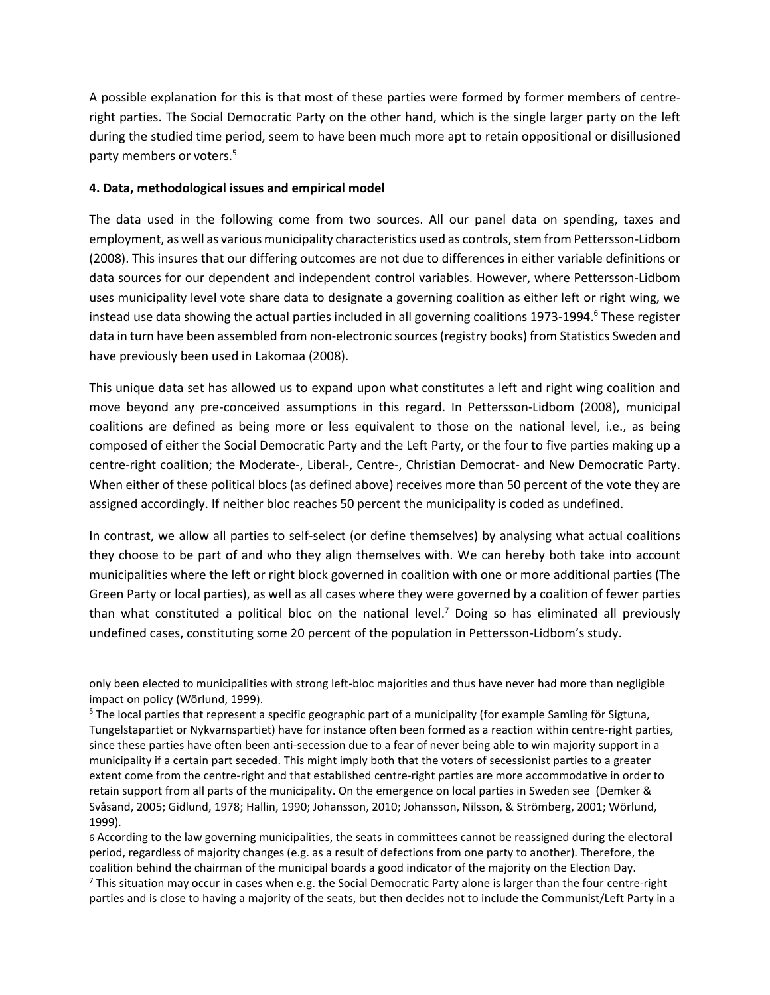A possible explanation for this is that most of these parties were formed by former members of centreright parties. The Social Democratic Party on the other hand, which is the single larger party on the left during the studied time period, seem to have been much more apt to retain oppositional or disillusioned party members or voters.<sup>5</sup>

## **4. Data, methodological issues and empirical model**

 $\overline{\phantom{a}}$ 

The data used in the following come from two sources. All our panel data on spending, taxes and employment, as well as various municipality characteristics used as controls, stem from Pettersson-Lidbom (2008). This insures that our differing outcomes are not due to differences in either variable definitions or data sources for our dependent and independent control variables. However, where Pettersson-Lidbom uses municipality level vote share data to designate a governing coalition as either left or right wing, we instead use data showing the actual parties included in all governing coalitions 1973-1994. <sup>6</sup> These register data in turn have been assembled from non-electronic sources (registry books) from Statistics Sweden and have previously been used in Lakomaa [\(2008\)](#page-9-7).

This unique data set has allowed us to expand upon what constitutes a left and right wing coalition and move beyond any pre-conceived assumptions in this regard. In Pettersson-Lidbom (2008), municipal coalitions are defined as being more or less equivalent to those on the national level, i.e., as being composed of either the Social Democratic Party and the Left Party, or the four to five parties making up a centre-right coalition; the Moderate-, Liberal-, Centre-, Christian Democrat- and New Democratic Party. When either of these political blocs (as defined above) receives more than 50 percent of the vote they are assigned accordingly. If neither bloc reaches 50 percent the municipality is coded as undefined.

In contrast, we allow all parties to self-select (or define themselves) by analysing what actual coalitions they choose to be part of and who they align themselves with. We can hereby both take into account municipalities where the left or right block governed in coalition with one or more additional parties (The Green Party or local parties), as well as all cases where they were governed by a coalition of fewer parties than what constituted a political bloc on the national level.<sup>7</sup> Doing so has eliminated all previously undefined cases, constituting some 20 percent of the population in Pettersson-Lidbom's study.

only been elected to municipalities with strong left-bloc majorities and thus have never had more than negligible impact on policy [\(Wörlund, 1999\)](#page-10-4).

<sup>&</sup>lt;sup>5</sup> The local parties that represent a specific geographic part of a municipality (for example Samling för Sigtuna, Tungelstapartiet or Nykvarnspartiet) have for instance often been formed as a reaction within centre-right parties, since these parties have often been anti-secession due to a fear of never being able to win majority support in a municipality if a certain part seceded. This might imply both that the voters of secessionist parties to a greater extent come from the centre-right and that established centre-right parties are more accommodative in order to retain support from all parts of the municipality. On the emergence on local parties in Sweden see [\(Demker &](#page-9-10)  [Svåsand, 2005;](#page-9-10) [Gidlund, 1978;](#page-9-11) [Hallin, 1990;](#page-9-12) [Johansson, 2010;](#page-9-9) [Johansson, Nilsson, & Strömberg, 2001;](#page-9-13) [Wörlund,](#page-10-4)  [1999\)](#page-10-4).

<sup>6</sup> According to the law governing municipalities, the seats in committees cannot be reassigned during the electoral period, regardless of majority changes (e.g. as a result of defections from one party to another). Therefore, the coalition behind the chairman of the municipal boards a good indicator of the majority on the Election Day.

 $7$  This situation may occur in cases when e.g. the Social Democratic Party alone is larger than the four centre-right parties and is close to having a majority of the seats, but then decides not to include the Communist/Left Party in a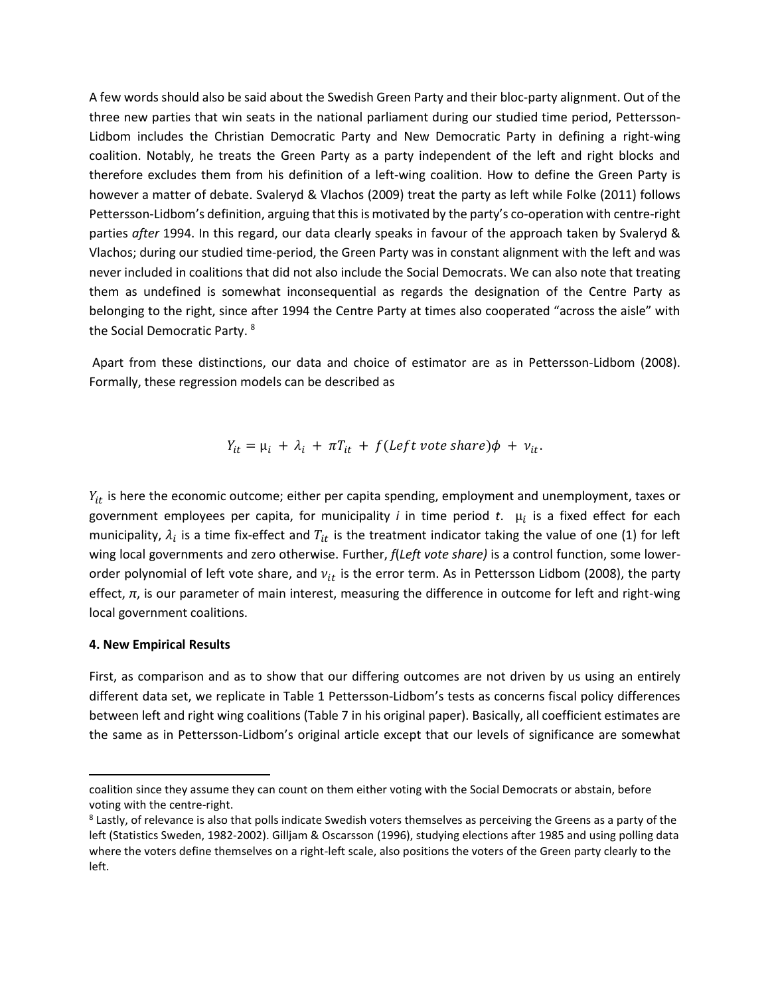A few words should also be said about the Swedish Green Party and their bloc-party alignment. Out of the three new parties that win seats in the national parliament during our studied time period, Pettersson-Lidbom includes the Christian Democratic Party and New Democratic Party in defining a right-wing coalition. Notably, he treats the Green Party as a party independent of the left and right blocks and therefore excludes them from his definition of a left-wing coalition. How to define the Green Party is however a matter of debate. Svaleryd & Vlachos [\(2009\)](#page-10-5) treat the party as left while Folke [\(2011\)](#page-9-14) follows Pettersson-Lidbom's definition, arguing that this is motivated by the party's co-operation with centre-right parties *after* 1994. In this regard, our data clearly speaks in favour of the approach taken by Svaleryd & Vlachos; during our studied time-period, the Green Party was in constant alignment with the left and was never included in coalitions that did not also include the Social Democrats. We can also note that treating them as undefined is somewhat inconsequential as regards the designation of the Centre Party as belonging to the right, since after 1994 the Centre Party at times also cooperated "across the aisle" with the Social Democratic Party.<sup>8</sup>

Apart from these distinctions, our data and choice of estimator are as in Pettersson-Lidbom (2008). Formally, these regression models can be described as

$$
Y_{it} = \mu_i + \lambda_i + \pi T_{it} + f(\text{Left vote share})\phi + \nu_{it}.
$$

 $Y_{it}$  is here the economic outcome; either per capita spending, employment and unemployment, taxes or government employees per capita, for municipality *i* in time period *t*. µ is a fixed effect for each municipality,  $\lambda_i$  is a time fix-effect and  $T_{it}$  is the treatment indicator taking the value of one (1) for left wing local governments and zero otherwise. Further, *f*(*Left vote share)* is a control function, some lowerorder polynomial of left vote share, and  $v_{it}$  is the error term. As in Pettersson Lidbom (2008), the party effect, *π*, is our parameter of main interest, measuring the difference in outcome for left and right-wing local government coalitions.

#### **4. New Empirical Results**

 $\overline{\phantom{a}}$ 

First, as comparison and as to show that our differing outcomes are not driven by us using an entirely different data set, we replicate in Table 1 Pettersson-Lidbom's tests as concerns fiscal policy differences between left and right wing coalitions (Table 7 in his original paper). Basically, all coefficient estimates are the same as in Pettersson-Lidbom's original article except that our levels of significance are somewhat

coalition since they assume they can count on them either voting with the Social Democrats or abstain, before voting with the centre-right.

<sup>&</sup>lt;sup>8</sup> Lastly, of relevance is also that polls indicate Swedish voters themselves as perceiving the Greens as a party of the left (Statistics Sweden, 1982-2002). Gilljam & Oscarsson [\(1996\)](#page-9-15), studying elections after 1985 and using polling data where the voters define themselves on a right-left scale, also positions the voters of the Green party clearly to the left.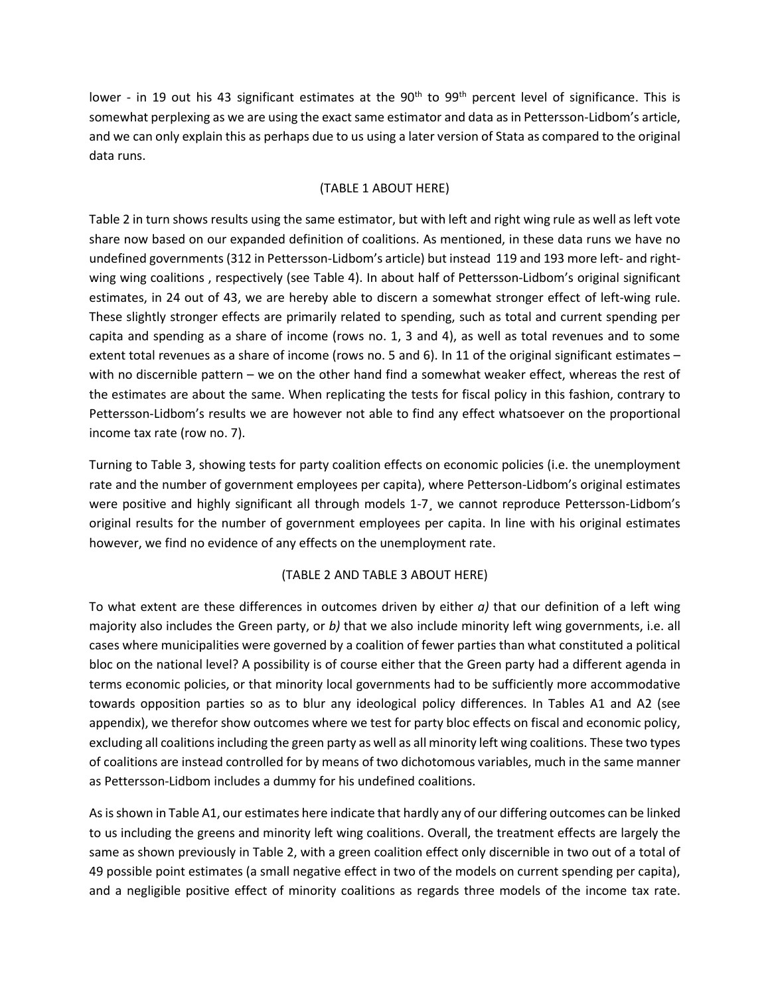lower - in 19 out his 43 significant estimates at the 90<sup>th</sup> to 99<sup>th</sup> percent level of significance. This is somewhat perplexing as we are using the exact same estimator and data as in Pettersson-Lidbom's article, and we can only explain this as perhaps due to us using a later version of Stata as compared to the original data runs.

## (TABLE 1 ABOUT HERE)

Table 2 in turn shows results using the same estimator, but with left and right wing rule as well as left vote share now based on our expanded definition of coalitions. As mentioned, in these data runs we have no undefined governments (312 in Pettersson-Lidbom's article) but instead 119 and 193 more left- and rightwing wing coalitions , respectively (see Table 4). In about half of Pettersson-Lidbom's original significant estimates, in 24 out of 43, we are hereby able to discern a somewhat stronger effect of left-wing rule. These slightly stronger effects are primarily related to spending, such as total and current spending per capita and spending as a share of income (rows no. 1, 3 and 4), as well as total revenues and to some extent total revenues as a share of income (rows no. 5 and 6). In 11 of the original significant estimates – with no discernible pattern – we on the other hand find a somewhat weaker effect, whereas the rest of the estimates are about the same. When replicating the tests for fiscal policy in this fashion, contrary to Pettersson-Lidbom's results we are however not able to find any effect whatsoever on the proportional income tax rate (row no. 7).

Turning to Table 3, showing tests for party coalition effects on economic policies (i.e. the unemployment rate and the number of government employees per capita), where Petterson-Lidbom's original estimates were positive and highly significant all through models 1-7¸ we cannot reproduce Pettersson-Lidbom's original results for the number of government employees per capita. In line with his original estimates however, we find no evidence of any effects on the unemployment rate.

#### (TABLE 2 AND TABLE 3 ABOUT HERE)

To what extent are these differences in outcomes driven by either *a)* that our definition of a left wing majority also includes the Green party, or *b)* that we also include minority left wing governments, i.e. all cases where municipalities were governed by a coalition of fewer parties than what constituted a political bloc on the national level? A possibility is of course either that the Green party had a different agenda in terms economic policies, or that minority local governments had to be sufficiently more accommodative towards opposition parties so as to blur any ideological policy differences. In Tables A1 and A2 (see appendix), we therefor show outcomes where we test for party bloc effects on fiscal and economic policy, excluding all coalitions including the green party as well as all minority left wing coalitions. These two types of coalitions are instead controlled for by means of two dichotomous variables, much in the same manner as Pettersson-Lidbom includes a dummy for his undefined coalitions.

As is shown in Table A1, our estimates here indicate that hardly any of our differing outcomes can be linked to us including the greens and minority left wing coalitions. Overall, the treatment effects are largely the same as shown previously in Table 2, with a green coalition effect only discernible in two out of a total of 49 possible point estimates (a small negative effect in two of the models on current spending per capita), and a negligible positive effect of minority coalitions as regards three models of the income tax rate.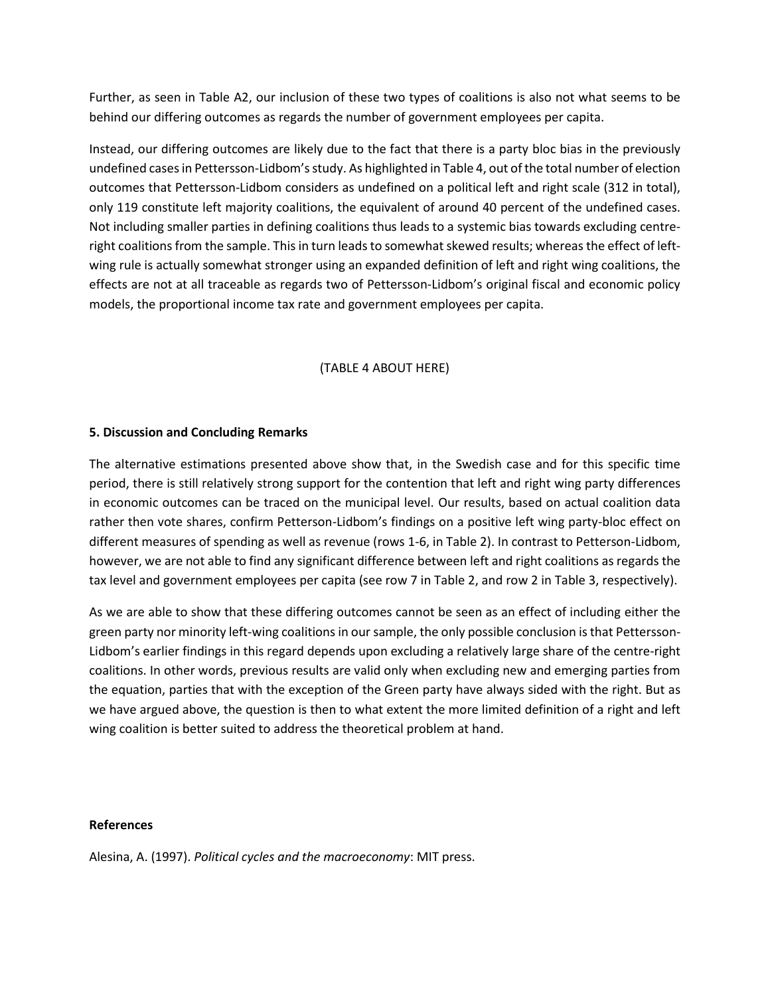Further, as seen in Table A2, our inclusion of these two types of coalitions is also not what seems to be behind our differing outcomes as regards the number of government employees per capita.

Instead, our differing outcomes are likely due to the fact that there is a party bloc bias in the previously undefined cases in Pettersson-Lidbom's study. As highlighted in Table 4, out of the total number of election outcomes that Pettersson-Lidbom considers as undefined on a political left and right scale (312 in total), only 119 constitute left majority coalitions, the equivalent of around 40 percent of the undefined cases. Not including smaller parties in defining coalitions thus leads to a systemic bias towards excluding centreright coalitions from the sample. This in turn leads to somewhat skewed results; whereas the effect of leftwing rule is actually somewhat stronger using an expanded definition of left and right wing coalitions, the effects are not at all traceable as regards two of Pettersson-Lidbom's original fiscal and economic policy models, the proportional income tax rate and government employees per capita.

## (TABLE 4 ABOUT HERE)

### **5. Discussion and Concluding Remarks**

The alternative estimations presented above show that, in the Swedish case and for this specific time period, there is still relatively strong support for the contention that left and right wing party differences in economic outcomes can be traced on the municipal level. Our results, based on actual coalition data rather then vote shares, confirm Petterson-Lidbom's findings on a positive left wing party-bloc effect on different measures of spending as well as revenue (rows 1-6, in Table 2). In contrast to Petterson-Lidbom, however, we are not able to find any significant difference between left and right coalitions as regards the tax level and government employees per capita (see row 7 in Table 2, and row 2 in Table 3, respectively).

As we are able to show that these differing outcomes cannot be seen as an effect of including either the green party nor minority left-wing coalitions in our sample, the only possible conclusion is that Pettersson-Lidbom's earlier findings in this regard depends upon excluding a relatively large share of the centre-right coalitions. In other words, previous results are valid only when excluding new and emerging parties from the equation, parties that with the exception of the Green party have always sided with the right. But as we have argued above, the question is then to what extent the more limited definition of a right and left wing coalition is better suited to address the theoretical problem at hand.

#### **References**

<span id="page-8-0"></span>Alesina, A. (1997). *Political cycles and the macroeconomy*: MIT press.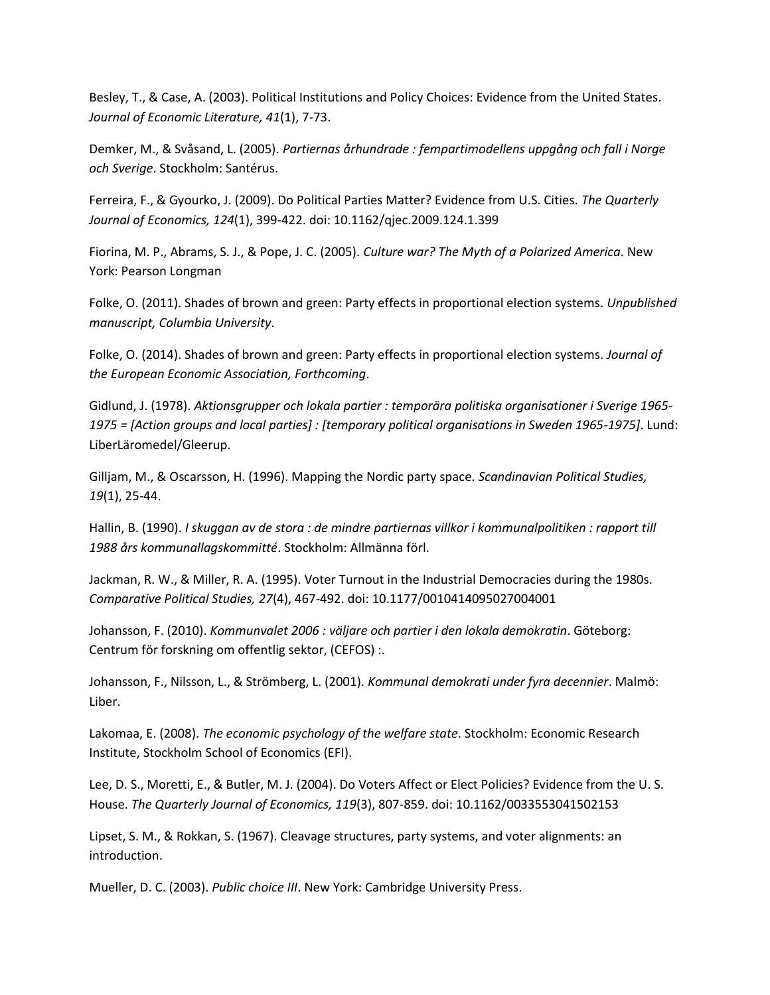<span id="page-9-1"></span>Besley, T., & Case, A. (2003). Political Institutions and Policy Choices: Evidence from the United States. *Journal of Economic Literature, 41*(1), 7-73.

<span id="page-9-10"></span>Demker, M., & Svåsand, L. (2005). *Partiernas århundrade : fempartimodellens uppgång och fall i Norge och Sverige*. Stockholm: Santérus.

<span id="page-9-2"></span>Ferreira, F., & Gyourko, J. (2009). Do Political Parties Matter? Evidence from U.S. Cities. *The Quarterly Journal of Economics, 124*(1), 399-422. doi: 10.1162/qjec.2009.124.1.399

<span id="page-9-6"></span>Fiorina, M. P., Abrams, S. J., & Pope, J. C. (2005). *Culture war? The Myth of a Polarized America*. New York: Pearson Longman

<span id="page-9-14"></span>Folke, O. (2011). Shades of brown and green: Party effects in proportional election systems. *Unpublished manuscript, Columbia University*.

<span id="page-9-3"></span>Folke, O. (2014). Shades of brown and green: Party effects in proportional election systems. *Journal of the European Economic Association, Forthcoming*.

<span id="page-9-11"></span>Gidlund, J. (1978). *Aktionsgrupper och lokala partier : temporära politiska organisationer i Sverige 1965- 1975 = [Action groups and local parties] : [temporary political organisations in Sweden 1965-1975]*. Lund: LiberLäromedel/Gleerup.

<span id="page-9-15"></span>Gilljam, M., & Oscarsson, H. (1996). Mapping the Nordic party space. *Scandinavian Political Studies, 19*(1), 25-44.

<span id="page-9-12"></span>Hallin, B. (1990). *I skuggan av de stora : de mindre partiernas villkor i kommunalpolitiken : rapport till 1988 års kommunallagskommitté*. Stockholm: Allmänna förl.

<span id="page-9-8"></span>Jackman, R. W., & Miller, R. A. (1995). Voter Turnout in the Industrial Democracies during the 1980s. *Comparative Political Studies, 27*(4), 467-492. doi: 10.1177/0010414095027004001

<span id="page-9-9"></span>Johansson, F. (2010). *Kommunvalet 2006 : väljare och partier i den lokala demokratin*. Göteborg: Centrum för forskning om offentlig sektor, (CEFOS) :.

<span id="page-9-13"></span>Johansson, F., Nilsson, L., & Strömberg, L. (2001). *Kommunal demokrati under fyra decennier*. Malmö: Liber.

<span id="page-9-7"></span>Lakomaa, E. (2008). *The economic psychology of the welfare state*. Stockholm: Economic Research Institute, Stockholm School of Economics (EFI).

<span id="page-9-0"></span>Lee, D. S., Moretti, E., & Butler, M. J. (2004). Do Voters Affect or Elect Policies? Evidence from the U. S. House. *The Quarterly Journal of Economics, 119*(3), 807-859. doi: 10.1162/0033553041502153

<span id="page-9-4"></span>Lipset, S. M., & Rokkan, S. (1967). Cleavage structures, party systems, and voter alignments: an introduction.

<span id="page-9-5"></span>Mueller, D. C. (2003). *Public choice III*. New York: Cambridge University Press.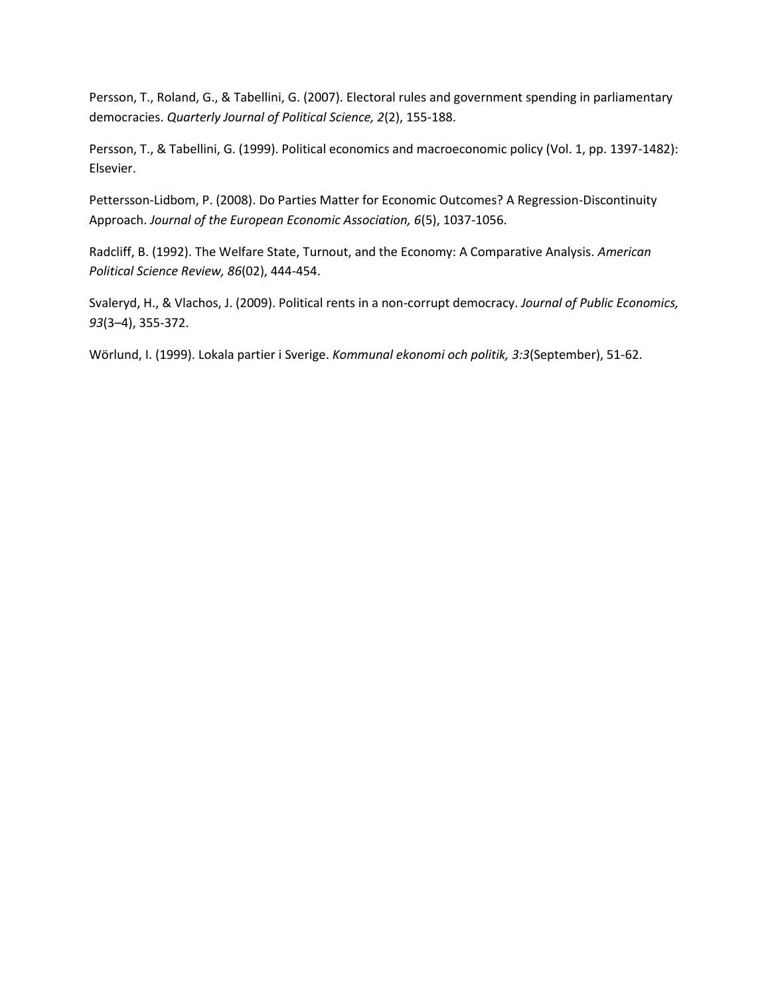<span id="page-10-1"></span>Persson, T., Roland, G., & Tabellini, G. (2007). Electoral rules and government spending in parliamentary democracies. *Quarterly Journal of Political Science, 2*(2), 155-188.

<span id="page-10-2"></span>Persson, T., & Tabellini, G. (1999). Political economics and macroeconomic policy (Vol. 1, pp. 1397-1482): Elsevier.

<span id="page-10-0"></span>Pettersson-Lidbom, P. (2008). Do Parties Matter for Economic Outcomes? A Regression-Discontinuity Approach. *Journal of the European Economic Association, 6*(5), 1037-1056.

<span id="page-10-3"></span>Radcliff, B. (1992). The Welfare State, Turnout, and the Economy: A Comparative Analysis. *American Political Science Review, 86*(02), 444-454.

<span id="page-10-5"></span>Svaleryd, H., & Vlachos, J. (2009). Political rents in a non-corrupt democracy. *Journal of Public Economics, 93*(3–4), 355-372.

<span id="page-10-4"></span>Wörlund, I. (1999). Lokala partier i Sverige. *Kommunal ekonomi och politik, 3:3*(September), 51-62.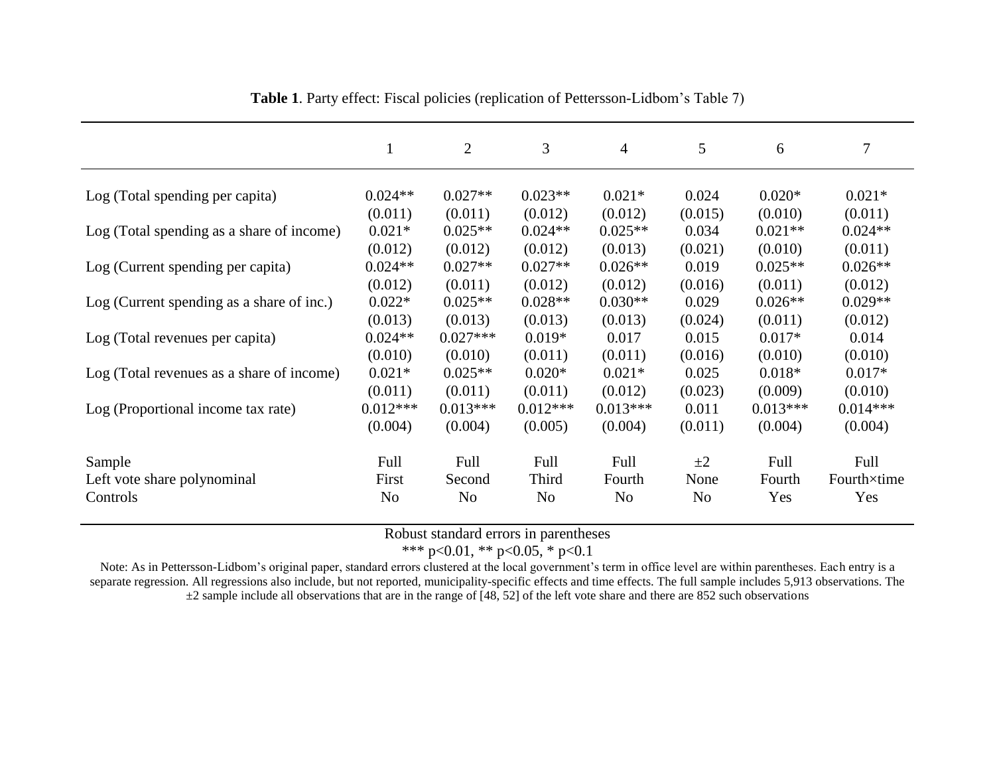|                                           | 1                               | 2                               | 3                               | $\overline{4}$                  | 5                           | 6                               | $\overline{7}$                  |
|-------------------------------------------|---------------------------------|---------------------------------|---------------------------------|---------------------------------|-----------------------------|---------------------------------|---------------------------------|
| Log (Total spending per capita)           | $0.024**$                       | $0.027**$                       | $0.023**$                       | $0.021*$                        | 0.024                       | $0.020*$                        | $0.021*$                        |
| Log (Total spending as a share of income) | (0.011)<br>$0.021*$             | (0.011)<br>$0.025**$            | (0.012)<br>$0.024**$            | (0.012)<br>$0.025**$            | (0.015)<br>0.034            | (0.010)<br>$0.021**$            | (0.011)<br>$0.024**$            |
| Log (Current spending per capita)         | (0.012)<br>$0.024**$<br>(0.012) | (0.012)<br>$0.027**$<br>(0.011) | (0.012)<br>$0.027**$<br>(0.012) | (0.013)<br>$0.026**$<br>(0.012) | (0.021)<br>0.019<br>(0.016) | (0.010)<br>$0.025**$<br>(0.011) | (0.011)<br>$0.026**$            |
| Log (Current spending as a share of inc.) | $0.022*$<br>(0.013)             | $0.025**$<br>(0.013)            | $0.028**$<br>(0.013)            | $0.030**$<br>(0.013)            | 0.029<br>(0.024)            | $0.026**$<br>(0.011)            | (0.012)<br>$0.029**$<br>(0.012) |
| Log (Total revenues per capita)           | $0.024**$<br>(0.010)            | $0.027***$<br>(0.010)           | $0.019*$<br>(0.011)             | 0.017<br>(0.011)                | 0.015<br>(0.016)            | $0.017*$<br>(0.010)             | 0.014<br>(0.010)                |
| Log (Total revenues as a share of income) | $0.021*$<br>(0.011)             | $0.025**$<br>(0.011)            | $0.020*$<br>(0.011)             | $0.021*$<br>(0.012)             | 0.025<br>(0.023)            | $0.018*$<br>(0.009)             | $0.017*$<br>(0.010)             |
| Log (Proportional income tax rate)        | $0.012***$<br>(0.004)           | $0.013***$<br>(0.004)           | $0.012***$<br>(0.005)           | $0.013***$<br>(0.004)           | 0.011<br>(0.011)            | $0.013***$<br>(0.004)           | $0.014***$<br>(0.004)           |
| Sample                                    | Full                            | Full                            | Full                            | Full                            | $\pm 2$                     | Full                            | Full                            |
| Left vote share polynominal<br>Controls   | First<br>N <sub>o</sub>         | Second<br>N <sub>o</sub>        | Third<br>N <sub>o</sub>         | Fourth<br>N <sub>o</sub>        | None<br>N <sub>o</sub>      | Fourth<br>Yes                   | Fourth×time<br>Yes              |

**Table 1**. Party effect: Fiscal policies (replication of Pettersson-Lidbom's Table 7)

Robust standard errors in parentheses

\*\*\* p<0.01, \*\* p<0.05, \* p<0.1

Note: As in Pettersson-Lidbom's original paper, standard errors clustered at the local government's term in office level are within parentheses. Each entry is a separate regression. All regressions also include, but not reported, municipality-specific effects and time effects. The full sample includes 5,913 observations. The  $\pm 2$  sample include all observations that are in the range of [48, 52] of the left vote share and there are 852 such observations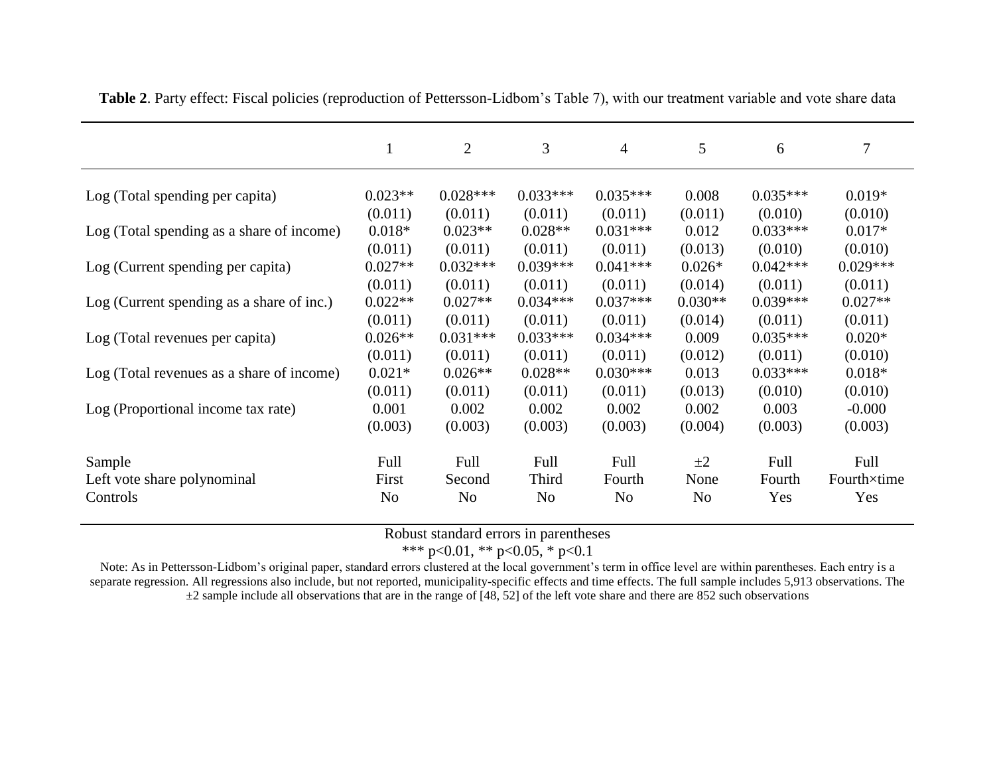|                                           |                | $\overline{2}$ | $\mathfrak{Z}$ | 4              | 5              | 6          | 7           |
|-------------------------------------------|----------------|----------------|----------------|----------------|----------------|------------|-------------|
| Log (Total spending per capita)           | $0.023**$      | $0.028***$     | $0.033***$     | $0.035***$     | 0.008          | $0.035***$ | $0.019*$    |
|                                           | (0.011)        | (0.011)        | (0.011)        | (0.011)        | (0.011)        | (0.010)    | (0.010)     |
| Log (Total spending as a share of income) | $0.018*$       | $0.023**$      | $0.028**$      | $0.031***$     | 0.012          | $0.033***$ | $0.017*$    |
|                                           | (0.011)        | (0.011)        | (0.011)        | (0.011)        | (0.013)        | (0.010)    | (0.010)     |
| Log (Current spending per capita)         | $0.027**$      | $0.032***$     | $0.039***$     | $0.041***$     | $0.026*$       | $0.042***$ | $0.029***$  |
|                                           | (0.011)        | (0.011)        | (0.011)        | (0.011)        | (0.014)        | (0.011)    | (0.011)     |
| Log (Current spending as a share of inc.) | $0.022**$      | $0.027**$      | $0.034***$     | $0.037***$     | $0.030**$      | $0.039***$ | $0.027**$   |
|                                           | (0.011)        | (0.011)        | (0.011)        | (0.011)        | (0.014)        | (0.011)    | (0.011)     |
| Log (Total revenues per capita)           | $0.026**$      | $0.031***$     | $0.033***$     | $0.034***$     | 0.009          | $0.035***$ | $0.020*$    |
|                                           | (0.011)        | (0.011)        | (0.011)        | (0.011)        | (0.012)        | (0.011)    | (0.010)     |
| Log (Total revenues as a share of income) | $0.021*$       | $0.026**$      | $0.028**$      | $0.030***$     | 0.013          | $0.033***$ | $0.018*$    |
|                                           | (0.011)        | (0.011)        | (0.011)        | (0.011)        | (0.013)        | (0.010)    | (0.010)     |
| Log (Proportional income tax rate)        | 0.001          | 0.002          | 0.002          | 0.002          | 0.002          | 0.003      | $-0.000$    |
|                                           | (0.003)        | (0.003)        | (0.003)        | (0.003)        | (0.004)        | (0.003)    | (0.003)     |
| Sample                                    | Full           | Full           | Full           | Full           | $\pm 2$        | Full       | Full        |
| Left vote share polynominal               | First          | Second         | Third          | Fourth         | None           | Fourth     | Fourth×time |
| Controls                                  | N <sub>o</sub> | N <sub>0</sub> | N <sub>o</sub> | N <sub>0</sub> | N <sub>0</sub> | Yes        | Yes         |

**Table 2**. Party effect: Fiscal policies (reproduction of Pettersson-Lidbom's Table 7), with our treatment variable and vote share data

Robust standard errors in parentheses

\*\*\* p<0.01, \*\* p<0.05, \* p<0.1

Note: As in Pettersson-Lidbom's original paper, standard errors clustered at the local government's term in office level are within parentheses. Each entry is a separate regression. All regressions also include, but not reported, municipality-specific effects and time effects. The full sample includes 5,913 observations. The  $\pm$ 2 sample include all observations that are in the range of [48, 52] of the left vote share and there are 852 such observations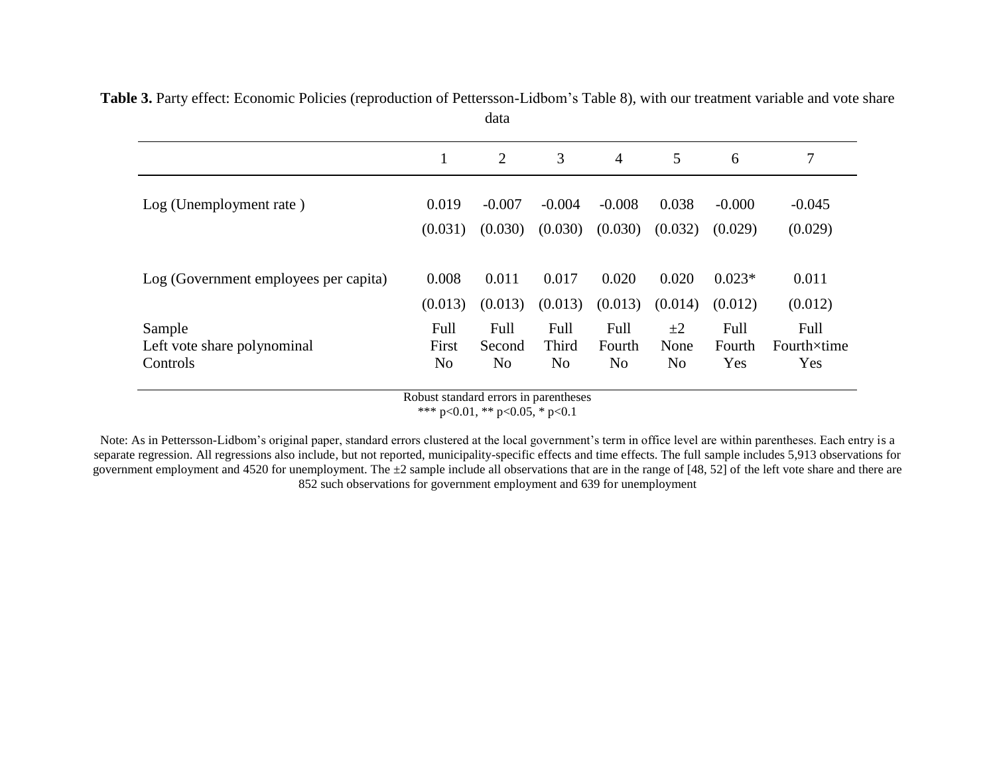|                                       |                | data           |                |                |         |          |             |
|---------------------------------------|----------------|----------------|----------------|----------------|---------|----------|-------------|
|                                       | 1              | 2              | 3              | $\overline{4}$ | 5       | 6        | 7           |
| Log (Unemployment rate)               | 0.019          | $-0.007$       | $-0.004$       | $-0.008$       | 0.038   | $-0.000$ | $-0.045$    |
|                                       | (0.031)        | (0.030)        | (0.030)        | (0.030)        | (0.032) | (0.029)  | (0.029)     |
| Log (Government employees per capita) | 0.008          | 0.011          | 0.017          | 0.020          | 0.020   | $0.023*$ | 0.011       |
|                                       | (0.013)        | (0.013)        | (0.013)        | (0.013)        | (0.014) | (0.012)  | (0.012)     |
| Sample                                | Full           | Full           | Full           | Full           | $\pm 2$ | Full     | Full        |
| Left vote share polynominal           | First          | Second         | Third          | Fourth         | None    | Fourth   | Fourth×time |
| Controls                              | N <sub>o</sub> | N <sub>o</sub> | N <sub>0</sub> | No             | No      | Yes      | Yes         |

**Table 3.** Party effect: Economic Policies (reproduction of Pettersson-Lidbom's Table 8), with our treatment variable and vote share

Robust standard errors in parentheses

\*\*\* p<0.01, \*\* p<0.05, \* p<0.1

Note: As in Pettersson-Lidbom's original paper, standard errors clustered at the local government's term in office level are within parentheses. Each entry is a separate regression. All regressions also include, but not reported, municipality-specific effects and time effects. The full sample includes 5,913 observations for government employment and 4520 for unemployment. The  $\pm 2$  sample include all observations that are in the range of [48, 52] of the left vote share and there are 852 such observations for government employment and 639 for unemployment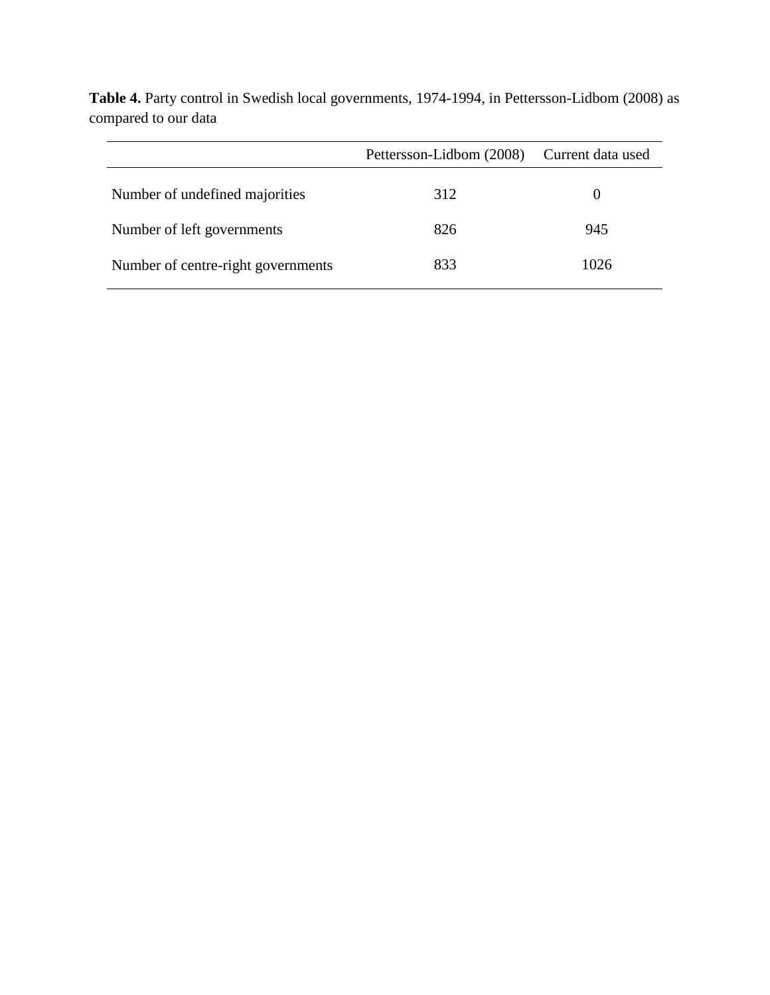|                                    | Pettersson-Lidbom (2008) | Current data used |
|------------------------------------|--------------------------|-------------------|
| Number of undefined majorities     | 312                      | $\theta$          |
| Number of left governments         | 826                      | 945               |
| Number of centre-right governments | 833                      | 1026              |

**Table 4.** Party control in Swedish local governments, 1974-1994, in Pettersson-Lidbom (2008) as compared to our data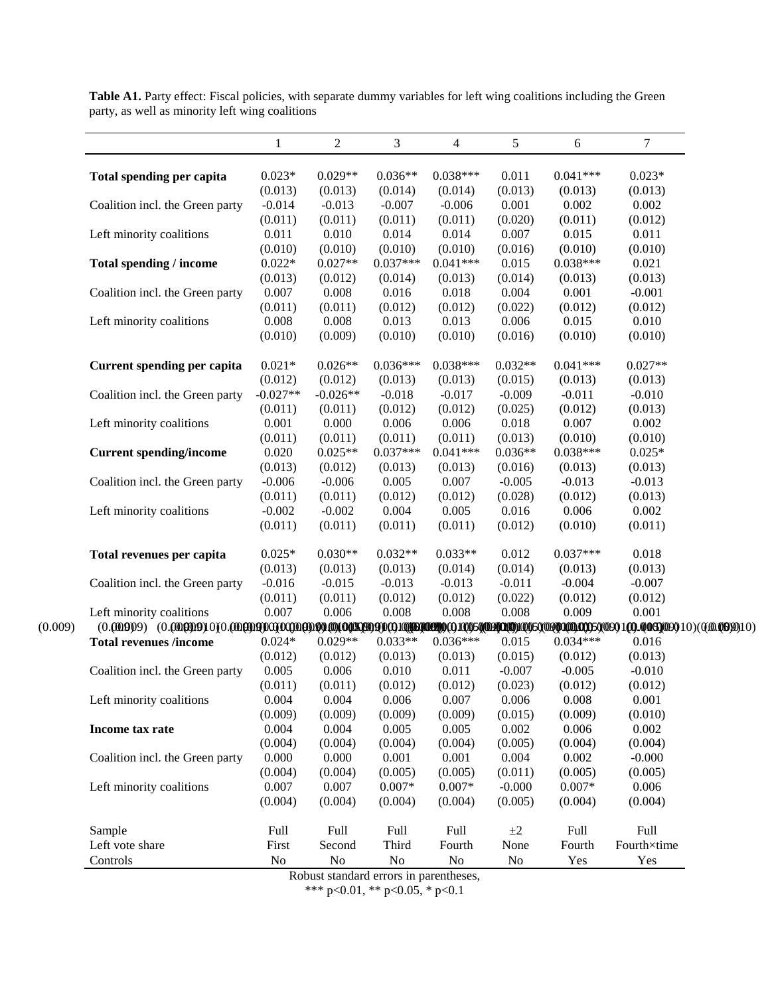|                                 | 1                | $\boldsymbol{2}$ | 3                   | $\overline{4}$      | 5                   | 6                   | $\overline{7}$   |
|---------------------------------|------------------|------------------|---------------------|---------------------|---------------------|---------------------|------------------|
| Total spending per capita       | $0.023*$         | $0.029**$        | $0.036**$           | $0.038***$          | 0.011               | $0.041***$          | $0.023*$         |
|                                 | (0.013)          | (0.013)          | (0.014)             | (0.014)             | (0.013)             | (0.013)             | (0.013)          |
| Coalition incl. the Green party | $-0.014$         | $-0.013$         | $-0.007$            | $-0.006$            | 0.001               | 0.002               | 0.002            |
|                                 | (0.011)          | (0.011)          | (0.011)             | (0.011)             | (0.020)             | (0.011)             | (0.012)          |
| Left minority coalitions        | 0.011            | 0.010            | 0.014               | 0.014               | 0.007               | 0.015               | 0.011            |
|                                 | (0.010)          | (0.010)          | (0.010)             | (0.010)             | (0.016)             | (0.010)             | (0.010)          |
| Total spending / income         | $0.022*$         | $0.027**$        | $0.037***$          | $0.041***$          | 0.015               | $0.038***$          | 0.021            |
|                                 | (0.013)          | (0.012)          | (0.014)             | (0.013)             | (0.014)             | (0.013)             | (0.013)          |
| Coalition incl. the Green party | 0.007            | 0.008            | 0.016               | 0.018               | 0.004               | 0.001               | $-0.001$         |
|                                 | (0.011)          | (0.011)          | (0.012)             | (0.012)             | (0.022)             | (0.012)             | (0.012)          |
| Left minority coalitions        | 0.008            | 0.008            | 0.013               | 0.013               | 0.006               | 0.015               | 0.010            |
|                                 | (0.010)          | (0.009)          | (0.010)             | (0.010)             | (0.016)             | (0.010)             | (0.010)          |
| Current spending per capita     | $0.021*$         | $0.026**$        | $0.036***$          | $0.038***$          | $0.032**$           | $0.041***$          | $0.027**$        |
|                                 | (0.012)          | (0.012)          | (0.013)             | (0.013)             | (0.015)             | (0.013)             | (0.013)          |
| Coalition incl. the Green party | $-0.027**$       | $-0.026**$       | $-0.018$            | $-0.017$            | $-0.009$            | $-0.011$            | $-0.010$         |
|                                 | (0.011)          | (0.011)          | (0.012)             | (0.012)             | (0.025)             | (0.012)             | (0.013)          |
| Left minority coalitions        | 0.001            | 0.000            | 0.006               | 0.006               | 0.018               | 0.007               | 0.002            |
|                                 | (0.011)          | (0.011)          | (0.011)             | (0.011)             | (0.013)             | (0.010)             | (0.010)          |
| <b>Current spending/income</b>  | 0.020            | $0.025**$        | $0.037***$          | $0.041***$          | $0.036**$           | $0.038***$          | $0.025*$         |
|                                 | (0.013)          | (0.012)          | (0.013)             | (0.013)             | (0.016)             | (0.013)             | (0.013)          |
| Coalition incl. the Green party | $-0.006$         | $-0.006$         | 0.005               | 0.007               | $-0.005$            | $-0.013$            | $-0.013$         |
|                                 | (0.011)          | (0.011)          | (0.012)             | (0.012)             | (0.028)             | (0.012)             | (0.013)          |
| Left minority coalitions        | $-0.002$         | $-0.002$         | 0.004               | 0.005               | 0.016               | 0.006               | 0.002            |
|                                 | (0.011)          | (0.011)          | (0.011)             | (0.011)             | (0.012)             | (0.010)             | (0.011)          |
| Total revenues per capita       | $0.025*$         | $0.030**$        | $0.032**$           | $0.033**$           | 0.012               | $0.037***$          | 0.018            |
|                                 | (0.013)          | (0.013)          | (0.013)             | (0.014)             | (0.014)             | (0.013)             | (0.013)          |
| Coalition incl. the Green party | $-0.016$         | $-0.015$         | $-0.013$            | $-0.013$            | $-0.011$            | $-0.004$            | $-0.007$         |
|                                 | (0.011)          | (0.011)          | (0.012)             | (0.012)             | (0.022)             | (0.012)             | (0.012)          |
| Left minority coalitions        | 0.007            | 0.006            | 0.008               | 0.008               | 0.008               | 0.009               | 0.001            |
|                                 |                  |                  |                     |                     |                     |                     |                  |
| <b>Total revenues /income</b>   | $0.024*$         | $0.029**$        | $0.033**$           | $0.036***$          | 0.015               | $0.034***$          | 0.016            |
|                                 | (0.012)          | (0.012)          | (0.013)             | (0.013)             | (0.015)             | (0.012)             | (0.013)          |
| Coalition incl. the Green party | 0.005            | 0.006            | 0.010               | 0.011               | $-0.007$            | $-0.005$            | $-0.010$         |
|                                 | (0.011)          | (0.011)          | (0.012)             | (0.012)             | (0.023)             | (0.012)             | (0.012)          |
| Left minority coalitions        | 0.004            | 0.004            | 0.006               | 0.007               | 0.006               | 0.008               | 0.001            |
|                                 | (0.009)          | (0.009)          | (0.009)             | (0.009)             | (0.015)             | (0.009)             | (0.010)          |
| Income tax rate                 | 0.004            | 0.004            | 0.005               | 0.005               | 0.002               | 0.006               | 0.002            |
|                                 | (0.004)          | (0.004)          | (0.004)             | (0.004)             | (0.005)             | (0.004)             | (0.004)          |
| Coalition incl. the Green party | 0.000            | 0.000            | 0.001               | 0.001               | 0.004               | 0.002               | $-0.000$         |
|                                 |                  |                  |                     |                     |                     |                     |                  |
|                                 | (0.004)          | (0.004)          | (0.005)<br>$0.007*$ | (0.005)             | (0.011)             | (0.005)             | (0.005)          |
| Left minority coalitions        | 0.007<br>(0.004) | 0.007<br>(0.004) | (0.004)             | $0.007*$<br>(0.004) | $-0.000$<br>(0.005) | $0.007*$<br>(0.004) | 0.006<br>(0.004) |
| Sample                          | Full             | Full             | Full                | Full                | $\pm 2$             | Full                | Full             |
| Left vote share                 | First            | Second           | Third               | Fourth              | None                | Fourth              | Fourth×time      |
| Controls                        | No               | $\rm No$         | $\rm No$            | No                  | No                  | Yes                 | Yes              |
|                                 | $D - L$          |                  | $\cdot$             | $-1$                |                     |                     |                  |

Table A1. Party effect: Fiscal policies, with separate dummy variables for left wing coalitions including the Green party, as well as minority left wing coalitions

Robust standard errors in parentheses,

\*\*\* p<0.01, \*\* p<0.05, \* p<0.1